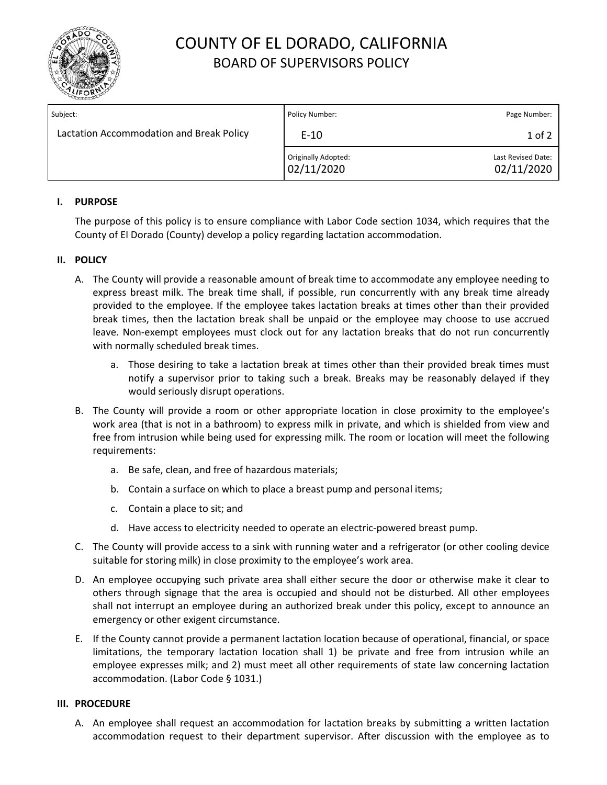

# COUNTY OF EL DORADO, CALIFORNIA BOARD OF SUPERVISORS POLICY

| Subject:                                 | Policy Number:                    | Page Number:                     |
|------------------------------------------|-----------------------------------|----------------------------------|
| Lactation Accommodation and Break Policy | $E-10$                            | $1$ of $2$                       |
|                                          | Originally Adopted:<br>02/11/2020 | Last Revised Date:<br>02/11/2020 |

## **I. PURPOSE**

The purpose of this policy is to ensure compliance with Labor Code section 1034, which requires that the County of El Dorado (County) develop a policy regarding lactation accommodation.

## **II. POLICY**

- A. The County will provide a reasonable amount of break time to accommodate any employee needing to express breast milk. The break time shall, if possible, run concurrently with any break time already provided to the employee. If the employee takes lactation breaks at times other than their provided break times, then the lactation break shall be unpaid or the employee may choose to use accrued leave. Non-exempt employees must clock out for any lactation breaks that do not run concurrently with normally scheduled break times.
	- a. Those desiring to take a lactation break at times other than their provided break times must notify a supervisor prior to taking such a break. Breaks may be reasonably delayed if they would seriously disrupt operations.
- B. The County will provide a room or other appropriate location in close proximity to the employee's work area (that is not in a bathroom) to express milk in private, and which is shielded from view and free from intrusion while being used for expressing milk. The room or location will meet the following requirements:
	- a. Be safe, clean, and free of hazardous materials;
	- b. Contain a surface on which to place a breast pump and personal items;
	- c. Contain a place to sit; and
	- d. Have access to electricity needed to operate an electric-powered breast pump.
- C. The County will provide access to a sink with running water and a refrigerator (or other cooling device suitable for storing milk) in close proximity to the employee's work area.
- D. An employee occupying such private area shall either secure the door or otherwise make it clear to others through signage that the area is occupied and should not be disturbed. All other employees shall not interrupt an employee during an authorized break under this policy, except to announce an emergency or other exigent circumstance.
- E. If the County cannot provide a permanent lactation location because of operational, financial, or space limitations, the temporary lactation location shall 1) be private and free from intrusion while an employee expresses milk; and 2) must meet all other requirements of state law concerning lactation accommodation. (Labor Code § 1031.)

### **III. PROCEDURE**

A. An employee shall request an accommodation for lactation breaks by submitting a written lactation accommodation request to their department supervisor. After discussion with the employee as to